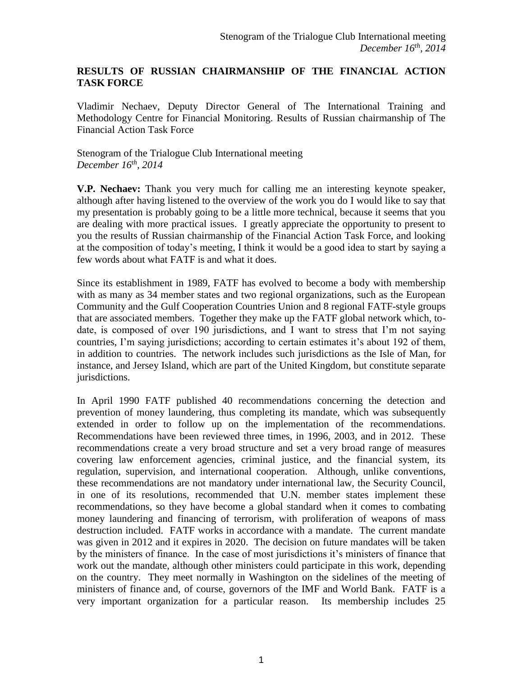## **RESULTS OF RUSSIAN CHAIRMANSHIP OF THE FINANCIAL ACTION TASK FORCE**

Vladimir Nechaev, Deputy Director General of The International Training and Methodology Centre for Financial Monitoring. Results of Russian chairmanship of The Financial Action Task Force

Stenogram of the Trialogue Club International meeting *December 16th, 2014*

**V.P. Nechaev:** Thank you very much for calling me an interesting keynote speaker, although after having listened to the overview of the work you do I would like to say that my presentation is probably going to be a little more technical, because it seems that you are dealing with more practical issues. I greatly appreciate the opportunity to present to you the results of Russian chairmanship of the Financial Action Task Force, and looking at the composition of today's meeting, I think it would be a good idea to start by saying a few words about what FATF is and what it does.

Since its establishment in 1989, FATF has evolved to become a body with membership with as many as 34 member states and two regional organizations, such as the European Community and the Gulf Cooperation Countries Union and 8 regional FATF-style groups that are associated members. Together they make up the FATF global network which, todate, is composed of over 190 jurisdictions, and I want to stress that I'm not saying countries, I'm saying jurisdictions; according to certain estimates it's about 192 of them, in addition to countries. The network includes such jurisdictions as the Isle of Man, for instance, and Jersey Island, which are part of the United Kingdom, but constitute separate jurisdictions.

In April 1990 FATF published 40 recommendations concerning the detection and prevention of money laundering, thus completing its mandate, which was subsequently extended in order to follow up on the implementation of the recommendations. Recommendations have been reviewed three times, in 1996, 2003, and in 2012. These recommendations create a very broad structure and set a very broad range of measures covering law enforcement agencies, criminal justice, and the financial system, its regulation, supervision, and international cooperation. Although, unlike conventions, these recommendations are not mandatory under international law, the Security Council, in one of its resolutions, recommended that U.N. member states implement these recommendations, so they have become a global standard when it comes to combating money laundering and financing of terrorism, with proliferation of weapons of mass destruction included. FATF works in accordance with a mandate. The current mandate was given in 2012 and it expires in 2020. The decision on future mandates will be taken by the ministers of finance. In the case of most jurisdictions it's ministers of finance that work out the mandate, although other ministers could participate in this work, depending on the country. They meet normally in Washington on the sidelines of the meeting of ministers of finance and, of course, governors of the IMF and World Bank. FATF is a very important organization for a particular reason. Its membership includes 25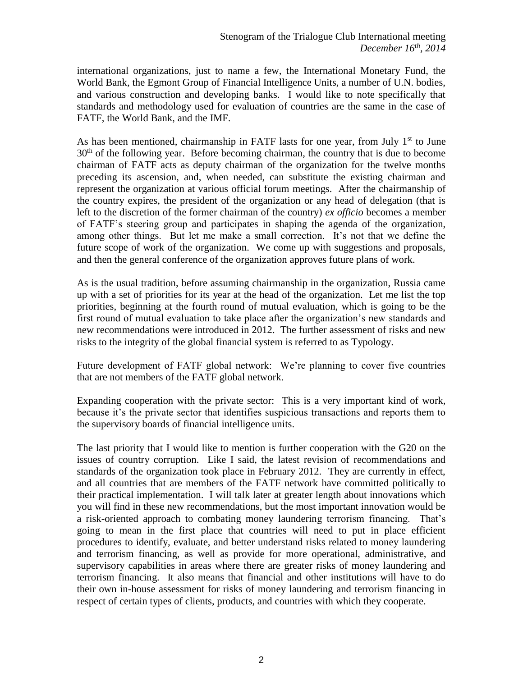international organizations, just to name a few, the International Monetary Fund, the World Bank, the Egmont Group of Financial Intelligence Units, a number of U.N. bodies, and various construction and developing banks. I would like to note specifically that standards and methodology used for evaluation of countries are the same in the case of FATF, the World Bank, and the IMF.

As has been mentioned, chairmanship in FATF lasts for one year, from July  $1<sup>st</sup>$  to June  $30<sup>th</sup>$  of the following year. Before becoming chairman, the country that is due to become chairman of FATF acts as deputy chairman of the organization for the twelve months preceding its ascension, and, when needed, can substitute the existing chairman and represent the organization at various official forum meetings. After the chairmanship of the country expires, the president of the organization or any head of delegation (that is left to the discretion of the former chairman of the country) *ex officio* becomes a member of FATF's steering group and participates in shaping the agenda of the organization, among other things. But let me make a small correction. It's not that we define the future scope of work of the organization. We come up with suggestions and proposals, and then the general conference of the organization approves future plans of work.

As is the usual tradition, before assuming chairmanship in the organization, Russia came up with a set of priorities for its year at the head of the organization. Let me list the top priorities, beginning at the fourth round of mutual evaluation, which is going to be the first round of mutual evaluation to take place after the organization's new standards and new recommendations were introduced in 2012. The further assessment of risks and new risks to the integrity of the global financial system is referred to as Typology.

Future development of FATF global network: We're planning to cover five countries that are not members of the FATF global network.

Expanding cooperation with the private sector: This is a very important kind of work, because it's the private sector that identifies suspicious transactions and reports them to the supervisory boards of financial intelligence units.

The last priority that I would like to mention is further cooperation with the G20 on the issues of country corruption. Like I said, the latest revision of recommendations and standards of the organization took place in February 2012. They are currently in effect, and all countries that are members of the FATF network have committed politically to their practical implementation. I will talk later at greater length about innovations which you will find in these new recommendations, but the most important innovation would be a risk-oriented approach to combating money laundering terrorism financing. That's going to mean in the first place that countries will need to put in place efficient procedures to identify, evaluate, and better understand risks related to money laundering and terrorism financing, as well as provide for more operational, administrative, and supervisory capabilities in areas where there are greater risks of money laundering and terrorism financing. It also means that financial and other institutions will have to do their own in-house assessment for risks of money laundering and terrorism financing in respect of certain types of clients, products, and countries with which they cooperate.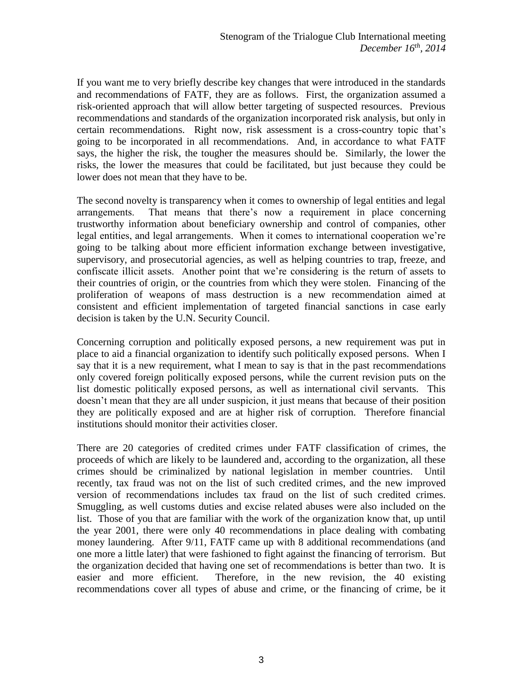If you want me to very briefly describe key changes that were introduced in the standards and recommendations of FATF, they are as follows. First, the organization assumed a risk-oriented approach that will allow better targeting of suspected resources. Previous recommendations and standards of the organization incorporated risk analysis, but only in certain recommendations. Right now, risk assessment is a cross-country topic that's going to be incorporated in all recommendations. And, in accordance to what FATF says, the higher the risk, the tougher the measures should be. Similarly, the lower the risks, the lower the measures that could be facilitated, but just because they could be lower does not mean that they have to be.

The second novelty is transparency when it comes to ownership of legal entities and legal arrangements. That means that there's now a requirement in place concerning trustworthy information about beneficiary ownership and control of companies, other legal entities, and legal arrangements. When it comes to international cooperation we're going to be talking about more efficient information exchange between investigative, supervisory, and prosecutorial agencies, as well as helping countries to trap, freeze, and confiscate illicit assets. Another point that we're considering is the return of assets to their countries of origin, or the countries from which they were stolen. Financing of the proliferation of weapons of mass destruction is a new recommendation aimed at consistent and efficient implementation of targeted financial sanctions in case early decision is taken by the U.N. Security Council.

Concerning corruption and politically exposed persons, a new requirement was put in place to aid a financial organization to identify such politically exposed persons. When I say that it is a new requirement, what I mean to say is that in the past recommendations only covered foreign politically exposed persons, while the current revision puts on the list domestic politically exposed persons, as well as international civil servants. This doesn't mean that they are all under suspicion, it just means that because of their position they are politically exposed and are at higher risk of corruption. Therefore financial institutions should monitor their activities closer.

There are 20 categories of credited crimes under FATF classification of crimes, the proceeds of which are likely to be laundered and, according to the organization, all these crimes should be criminalized by national legislation in member countries. Until recently, tax fraud was not on the list of such credited crimes, and the new improved version of recommendations includes tax fraud on the list of such credited crimes. Smuggling, as well customs duties and excise related abuses were also included on the list. Those of you that are familiar with the work of the organization know that, up until the year 2001, there were only 40 recommendations in place dealing with combating money laundering. After 9/11, FATF came up with 8 additional recommendations (and one more a little later) that were fashioned to fight against the financing of terrorism. But the organization decided that having one set of recommendations is better than two. It is easier and more efficient. Therefore, in the new revision, the 40 existing recommendations cover all types of abuse and crime, or the financing of crime, be it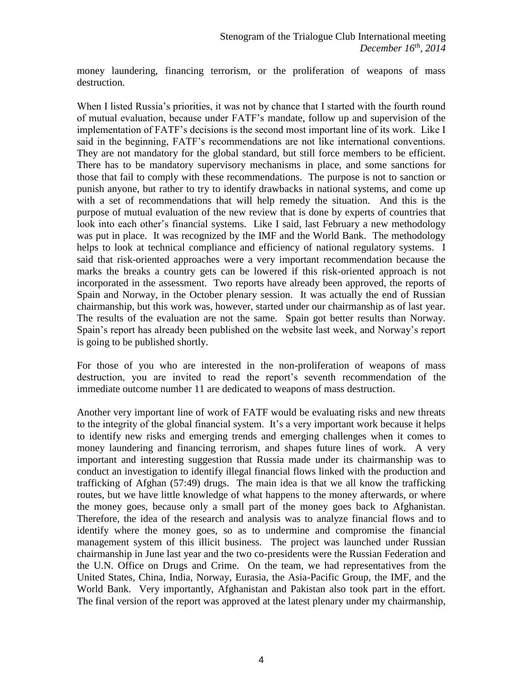money laundering, financing terrorism, or the proliferation of weapons of mass destruction.

When I listed Russia's priorities, it was not by chance that I started with the fourth round of mutual evaluation, because under FATF's mandate, follow up and supervision of the implementation of FATF's decisions is the second most important line of its work. Like I said in the beginning, FATF's recommendations are not like international conventions. They are not mandatory for the global standard, but still force members to be efficient. There has to be mandatory supervisory mechanisms in place, and some sanctions for those that fail to comply with these recommendations. The purpose is not to sanction or punish anyone, but rather to try to identify drawbacks in national systems, and come up with a set of recommendations that will help remedy the situation. And this is the purpose of mutual evaluation of the new review that is done by experts of countries that look into each other's financial systems. Like I said, last February a new methodology was put in place. It was recognized by the IMF and the World Bank. The methodology helps to look at technical compliance and efficiency of national regulatory systems. I said that risk-oriented approaches were a very important recommendation because the marks the breaks a country gets can be lowered if this risk-oriented approach is not incorporated in the assessment. Two reports have already been approved, the reports of Spain and Norway, in the October plenary session. It was actually the end of Russian chairmanship, but this work was, however, started under our chairmanship as of last year. The results of the evaluation are not the same. Spain got better results than Norway. Spain's report has already been published on the website last week, and Norway's report is going to be published shortly.

For those of you who are interested in the non-proliferation of weapons of mass destruction, you are invited to read the report's seventh recommendation of the immediate outcome number 11 are dedicated to weapons of mass destruction.

Another very important line of work of FATF would be evaluating risks and new threats to the integrity of the global financial system. It's a very important work because it helps to identify new risks and emerging trends and emerging challenges when it comes to money laundering and financing terrorism, and shapes future lines of work. A very important and interesting suggestion that Russia made under its chairmanship was to conduct an investigation to identify illegal financial flows linked with the production and trafficking of Afghan (57:49) drugs. The main idea is that we all know the trafficking routes, but we have little knowledge of what happens to the money afterwards, or where the money goes, because only a small part of the money goes back to Afghanistan. Therefore, the idea of the research and analysis was to analyze financial flows and to identify where the money goes, so as to undermine and compromise the financial management system of this illicit business. The project was launched under Russian chairmanship in June last year and the two co-presidents were the Russian Federation and the U.N. Office on Drugs and Crime. On the team, we had representatives from the United States, China, India, Norway, Eurasia, the Asia-Pacific Group, the IMF, and the World Bank. Very importantly, Afghanistan and Pakistan also took part in the effort. The final version of the report was approved at the latest plenary under my chairmanship,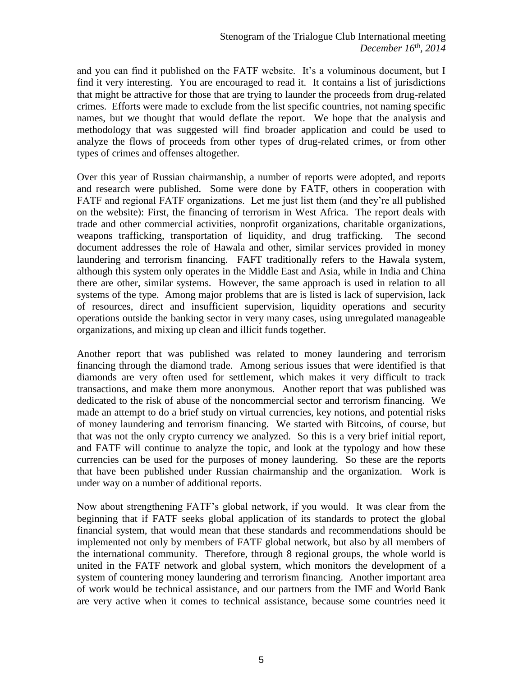and you can find it published on the FATF website. It's a voluminous document, but I find it very interesting. You are encouraged to read it. It contains a list of jurisdictions that might be attractive for those that are trying to launder the proceeds from drug-related crimes. Efforts were made to exclude from the list specific countries, not naming specific names, but we thought that would deflate the report. We hope that the analysis and methodology that was suggested will find broader application and could be used to analyze the flows of proceeds from other types of drug-related crimes, or from other types of crimes and offenses altogether.

Over this year of Russian chairmanship, a number of reports were adopted, and reports and research were published. Some were done by FATF, others in cooperation with FATF and regional FATF organizations. Let me just list them (and they're all published on the website): First, the financing of terrorism in West Africa. The report deals with trade and other commercial activities, nonprofit organizations, charitable organizations, weapons trafficking, transportation of liquidity, and drug trafficking. The second document addresses the role of Hawala and other, similar services provided in money laundering and terrorism financing. FAFT traditionally refers to the Hawala system, although this system only operates in the Middle East and Asia, while in India and China there are other, similar systems. However, the same approach is used in relation to all systems of the type. Among major problems that are is listed is lack of supervision, lack of resources, direct and insufficient supervision, liquidity operations and security operations outside the banking sector in very many cases, using unregulated manageable organizations, and mixing up clean and illicit funds together.

Another report that was published was related to money laundering and terrorism financing through the diamond trade. Among serious issues that were identified is that diamonds are very often used for settlement, which makes it very difficult to track transactions, and make them more anonymous. Another report that was published was dedicated to the risk of abuse of the noncommercial sector and terrorism financing. We made an attempt to do a brief study on virtual currencies, key notions, and potential risks of money laundering and terrorism financing. We started with Bitcoins, of course, but that was not the only crypto currency we analyzed. So this is a very brief initial report, and FATF will continue to analyze the topic, and look at the typology and how these currencies can be used for the purposes of money laundering. So these are the reports that have been published under Russian chairmanship and the organization. Work is under way on a number of additional reports.

Now about strengthening FATF's global network, if you would. It was clear from the beginning that if FATF seeks global application of its standards to protect the global financial system, that would mean that these standards and recommendations should be implemented not only by members of FATF global network, but also by all members of the international community. Therefore, through 8 regional groups, the whole world is united in the FATF network and global system, which monitors the development of a system of countering money laundering and terrorism financing. Another important area of work would be technical assistance, and our partners from the IMF and World Bank are very active when it comes to technical assistance, because some countries need it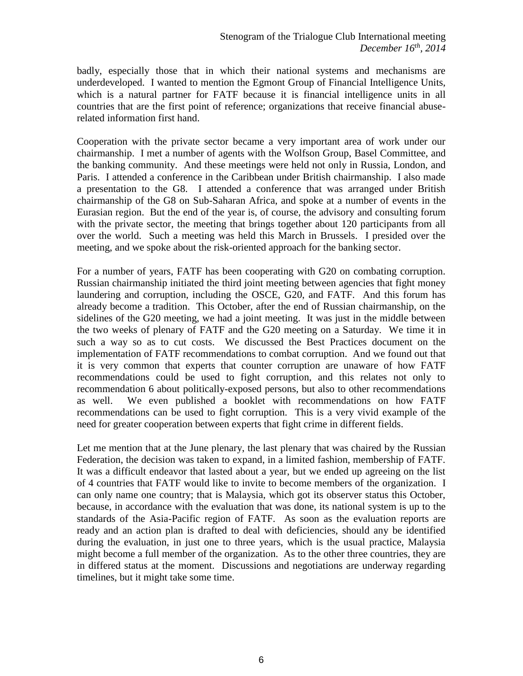badly, especially those that in which their national systems and mechanisms are underdeveloped. I wanted to mention the Egmont Group of Financial Intelligence Units, which is a natural partner for FATF because it is financial intelligence units in all countries that are the first point of reference; organizations that receive financial abuserelated information first hand.

Cooperation with the private sector became a very important area of work under our chairmanship. I met a number of agents with the Wolfson Group, Basel Committee, and the banking community. And these meetings were held not only in Russia, London, and Paris. I attended a conference in the Caribbean under British chairmanship. I also made a presentation to the G8. I attended a conference that was arranged under British chairmanship of the G8 on Sub-Saharan Africa, and spoke at a number of events in the Eurasian region. But the end of the year is, of course, the advisory and consulting forum with the private sector, the meeting that brings together about 120 participants from all over the world. Such a meeting was held this March in Brussels. I presided over the meeting, and we spoke about the risk-oriented approach for the banking sector.

For a number of years, FATF has been cooperating with G20 on combating corruption. Russian chairmanship initiated the third joint meeting between agencies that fight money laundering and corruption, including the OSCE, G20, and FATF. And this forum has already become a tradition. This October, after the end of Russian chairmanship, on the sidelines of the G20 meeting, we had a joint meeting. It was just in the middle between the two weeks of plenary of FATF and the G20 meeting on a Saturday. We time it in such a way so as to cut costs. We discussed the Best Practices document on the implementation of FATF recommendations to combat corruption. And we found out that it is very common that experts that counter corruption are unaware of how FATF recommendations could be used to fight corruption, and this relates not only to recommendation 6 about politically-exposed persons, but also to other recommendations as well. We even published a booklet with recommendations on how FATF recommendations can be used to fight corruption. This is a very vivid example of the need for greater cooperation between experts that fight crime in different fields.

Let me mention that at the June plenary, the last plenary that was chaired by the Russian Federation, the decision was taken to expand, in a limited fashion, membership of FATF. It was a difficult endeavor that lasted about a year, but we ended up agreeing on the list of 4 countries that FATF would like to invite to become members of the organization. I can only name one country; that is Malaysia, which got its observer status this October, because, in accordance with the evaluation that was done, its national system is up to the standards of the Asia-Pacific region of FATF. As soon as the evaluation reports are ready and an action plan is drafted to deal with deficiencies, should any be identified during the evaluation, in just one to three years, which is the usual practice, Malaysia might become a full member of the organization. As to the other three countries, they are in differed status at the moment. Discussions and negotiations are underway regarding timelines, but it might take some time.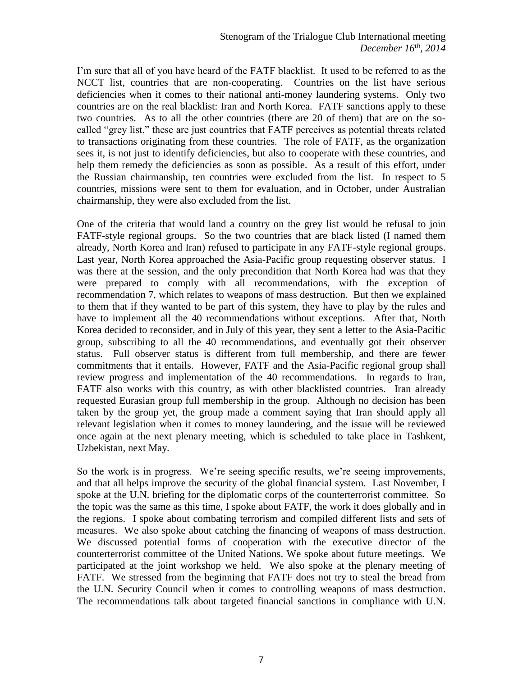I'm sure that all of you have heard of the FATF blacklist. It used to be referred to as the NCCT list, countries that are non-cooperating. Countries on the list have serious deficiencies when it comes to their national anti-money laundering systems. Only two countries are on the real blacklist: Iran and North Korea. FATF sanctions apply to these two countries. As to all the other countries (there are 20 of them) that are on the socalled "grey list," these are just countries that FATF perceives as potential threats related to transactions originating from these countries. The role of FATF, as the organization sees it, is not just to identify deficiencies, but also to cooperate with these countries, and help them remedy the deficiencies as soon as possible. As a result of this effort, under the Russian chairmanship, ten countries were excluded from the list. In respect to 5 countries, missions were sent to them for evaluation, and in October, under Australian chairmanship, they were also excluded from the list.

One of the criteria that would land a country on the grey list would be refusal to join FATF-style regional groups. So the two countries that are black listed (I named them already, North Korea and Iran) refused to participate in any FATF-style regional groups. Last year, North Korea approached the Asia-Pacific group requesting observer status. I was there at the session, and the only precondition that North Korea had was that they were prepared to comply with all recommendations, with the exception of recommendation 7, which relates to weapons of mass destruction. But then we explained to them that if they wanted to be part of this system, they have to play by the rules and have to implement all the 40 recommendations without exceptions. After that, North Korea decided to reconsider, and in July of this year, they sent a letter to the Asia-Pacific group, subscribing to all the 40 recommendations, and eventually got their observer status. Full observer status is different from full membership, and there are fewer commitments that it entails. However, FATF and the Asia-Pacific regional group shall review progress and implementation of the 40 recommendations. In regards to Iran, FATF also works with this country, as with other blacklisted countries. Iran already requested Eurasian group full membership in the group. Although no decision has been taken by the group yet, the group made a comment saying that Iran should apply all relevant legislation when it comes to money laundering, and the issue will be reviewed once again at the next plenary meeting, which is scheduled to take place in Tashkent, Uzbekistan, next May.

So the work is in progress. We're seeing specific results, we're seeing improvements, and that all helps improve the security of the global financial system. Last November, I spoke at the U.N. briefing for the diplomatic corps of the counterterrorist committee. So the topic was the same as this time, I spoke about FATF, the work it does globally and in the regions. I spoke about combating terrorism and compiled different lists and sets of measures. We also spoke about catching the financing of weapons of mass destruction. We discussed potential forms of cooperation with the executive director of the counterterrorist committee of the United Nations. We spoke about future meetings. We participated at the joint workshop we held. We also spoke at the plenary meeting of FATF. We stressed from the beginning that FATF does not try to steal the bread from the U.N. Security Council when it comes to controlling weapons of mass destruction. The recommendations talk about targeted financial sanctions in compliance with U.N.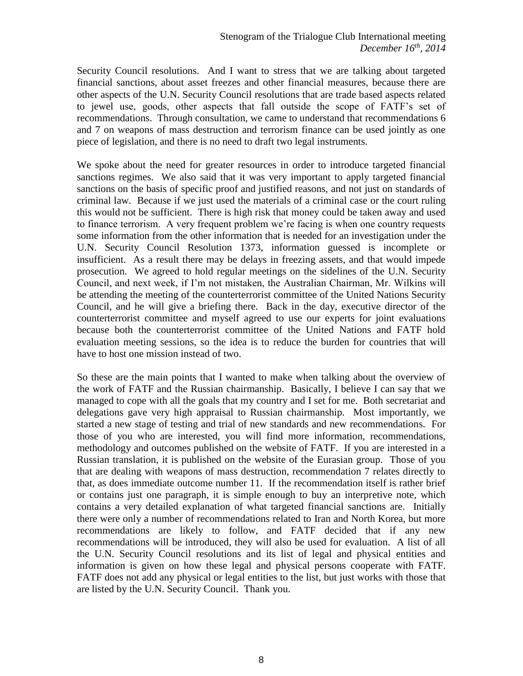Security Council resolutions. And I want to stress that we are talking about targeted financial sanctions, about asset freezes and other financial measures, because there are other aspects of the U.N. Security Council resolutions that are trade based aspects related to jewel use, goods, other aspects that fall outside the scope of FATF's set of recommendations. Through consultation, we came to understand that recommendations 6 and 7 on weapons of mass destruction and terrorism finance can be used jointly as one piece of legislation, and there is no need to draft two legal instruments.

We spoke about the need for greater resources in order to introduce targeted financial sanctions regimes. We also said that it was very important to apply targeted financial sanctions on the basis of specific proof and justified reasons, and not just on standards of criminal law. Because if we just used the materials of a criminal case or the court ruling this would not be sufficient. There is high risk that money could be taken away and used to finance terrorism. A very frequent problem we're facing is when one country requests some information from the other information that is needed for an investigation under the U.N. Security Council Resolution 1373, information guessed is incomplete or insufficient. As a result there may be delays in freezing assets, and that would impede prosecution. We agreed to hold regular meetings on the sidelines of the U.N. Security Council, and next week, if I'm not mistaken, the Australian Chairman, Mr. Wilkins will be attending the meeting of the counterterrorist committee of the United Nations Security Council, and he will give a briefing there. Back in the day, executive director of the counterterrorist committee and myself agreed to use our experts for joint evaluations because both the counterterrorist committee of the United Nations and FATF hold evaluation meeting sessions, so the idea is to reduce the burden for countries that will have to host one mission instead of two.

So these are the main points that I wanted to make when talking about the overview of the work of FATF and the Russian chairmanship. Basically, I believe I can say that we managed to cope with all the goals that my country and I set for me. Both secretariat and delegations gave very high appraisal to Russian chairmanship. Most importantly, we started a new stage of testing and trial of new standards and new recommendations. For those of you who are interested, you will find more information, recommendations, methodology and outcomes published on the website of FATF. If you are interested in a Russian translation, it is published on the website of the Eurasian group. Those of you that are dealing with weapons of mass destruction, recommendation 7 relates directly to that, as does immediate outcome number 11. If the recommendation itself is rather brief or contains just one paragraph, it is simple enough to buy an interpretive note, which contains a very detailed explanation of what targeted financial sanctions are. Initially there were only a number of recommendations related to Iran and North Korea, but more recommendations are likely to follow, and FATF decided that if any new recommendations will be introduced, they will also be used for evaluation. A list of all the U.N. Security Council resolutions and its list of legal and physical entities and information is given on how these legal and physical persons cooperate with FATF. FATF does not add any physical or legal entities to the list, but just works with those that are listed by the U.N. Security Council. Thank you.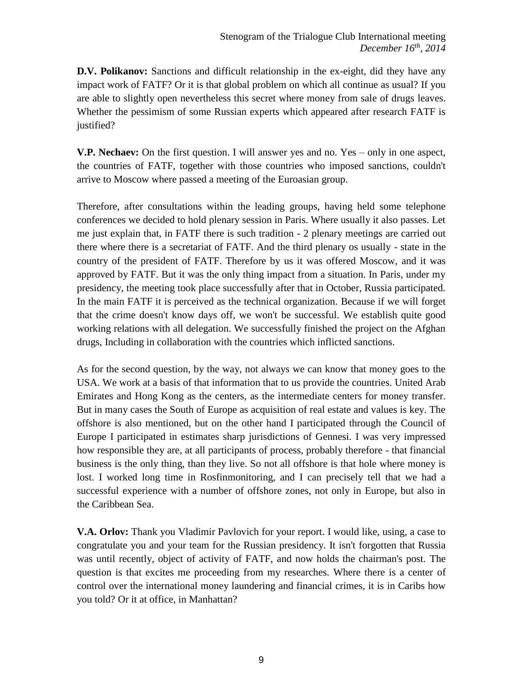**D.V. Polikanov:** Sanctions and difficult relationship in the ex-eight, did they have any impact work of FATF? Or it is that global problem on which all continue as usual? If you are able to slightly open nevertheless this secret where money from sale of drugs leaves. Whether the pessimism of some Russian experts which appeared after research FATF is justified?

**V.P. Nechaev:** On the first question. I will answer yes and no. Yes – only in one aspect, the countries of FATF, together with those countries who imposed sanctions, couldn't arrive to Moscow where passed a meeting of the Euroasian group.

Therefore, after consultations within the leading groups, having held some telephone conferences we decided to hold plenary session in Paris. Where usually it also passes. Let me just explain that, in FATF there is such tradition - 2 plenary meetings are carried out there where there is a secretariat of FATF. And the third plenary os usually - state in the country of the president of FATF. Therefore by us it was offered Moscow, and it was approved by FATF. But it was the only thing impact from a situation. In Paris, under my presidency, the meeting took place successfully after that in October, Russia participated. In the main FATF it is perceived as the technical organization. Because if we will forget that the crime doesn't know days off, we won't be successful. We establish quite good working relations with all delegation. We successfully finished the project on the Afghan drugs, Including in collaboration with the countries which inflicted sanctions.

As for the second question, by the way, not always we can know that money goes to the USA. We work at a basis of that information that to us provide the countries. United Arab Emirates and Hong Kong as the centers, as the intermediate centers for money transfer. But in many cases the South of Europe as acquisition of real estate and values is key. The offshore is also mentioned, but on the other hand I participated through the Council of Europe I participated in estimates sharp jurisdictions of Gennesi. I was very impressed how responsible they are, at all participants of process, probably therefore - that financial business is the only thing, than they live. So not all offshore is that hole where money is lost. I worked long time in Rosfinmonitoring, and I can precisely tell that we had a successful experience with a number of offshore zones, not only in Europe, but also in the Caribbean Sea.

**V.A. Orlov:** Thank you Vladimir Pavlovich for your report. I would like, using, a case to congratulate you and your team for the Russian presidency. It isn't forgotten that Russia was until recently, object of activity of FATF, and now holds the chairman's post. The question is that excites me proceeding from my researches. Where there is a center of control over the international money laundering and financial crimes, it is in Caribs how you told? Or it at office, in Manhattan?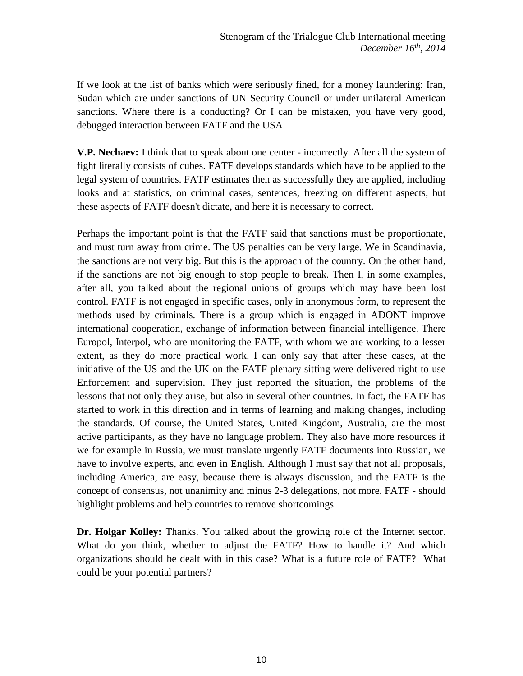If we look at the list of banks which were seriously fined, for a money laundering: Iran, Sudan which are under sanctions of UN Security Council or under unilateral American sanctions. Where there is a conducting? Or I can be mistaken, you have very good, debugged interaction between FATF and the USA.

**V.P. Nechaev:** I think that to speak about one center - incorrectly. After all the system of fight literally consists of cubes. FATF develops standards which have to be applied to the legal system of countries. FATF estimates then as successfully they are applied, including looks and at statistics, on criminal cases, sentences, freezing on different aspects, but these aspects of FATF doesn't dictate, and here it is necessary to correct.

Perhaps the important point is that the FATF said that sanctions must be proportionate, and must turn away from crime. The US penalties can be very large. We in Scandinavia, the sanctions are not very big. But this is the approach of the country. On the other hand, if the sanctions are not big enough to stop people to break. Then I, in some examples, after all, you talked about the regional unions of groups which may have been lost control. FATF is not engaged in specific cases, only in anonymous form, to represent the methods used by criminals. There is a group which is engaged in ADONT improve international cooperation, exchange of information between financial intelligence. There Europol, Interpol, who are monitoring the FATF, with whom we are working to a lesser extent, as they do more practical work. I can only say that after these cases, at the initiative of the US and the UK on the FATF plenary sitting were delivered right to use Enforcement and supervision. They just reported the situation, the problems of the lessons that not only they arise, but also in several other countries. In fact, the FATF has started to work in this direction and in terms of learning and making changes, including the standards. Of course, the United States, United Kingdom, Australia, are the most active participants, as they have no language problem. They also have more resources if we for example in Russia, we must translate urgently FATF documents into Russian, we have to involve experts, and even in English. Although I must say that not all proposals, including America, are easy, because there is always discussion, and the FATF is the concept of consensus, not unanimity and minus 2-3 delegations, not more. FATF - should highlight problems and help countries to remove shortcomings.

**Dr. Holgar Kolley:** Thanks. You talked about the growing role of the Internet sector. What do you think, whether to adjust the FATF? How to handle it? And which organizations should be dealt with in this case? What is a future role of FATF? What could be your potential partners?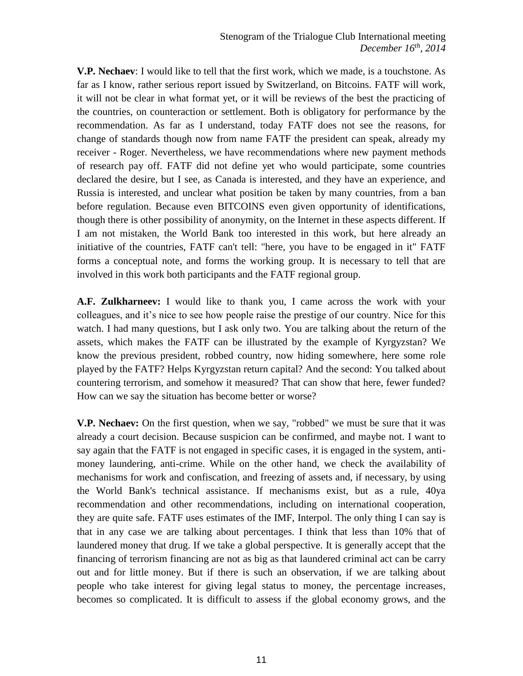**V.P. Nechaev**: I would like to tell that the first work, which we made, is a touchstone. As far as I know, rather serious report issued by Switzerland, on Bitcoins. FATF will work, it will not be clear in what format yet, or it will be reviews of the best the practicing of the countries, on counteraction or settlement. Both is obligatory for performance by the recommendation. As far as I understand, today FATF does not see the reasons, for change of standards though now from name FATF the president can speak, already my receiver - Roger. Nevertheless, we have recommendations where new payment methods of research pay off. FATF did not define yet who would participate, some countries declared the desire, but I see, as Canada is interested, and they have an experience, and Russia is interested, and unclear what position be taken by many countries, from a ban before regulation. Because even BITCOINS even given opportunity of identifications, though there is other possibility of anonymity, on the Internet in these aspects different. If I am not mistaken, the World Bank too interested in this work, but here already an initiative of the countries, FATF can't tell: "here, you have to be engaged in it" FATF forms a conceptual note, and forms the working group. It is necessary to tell that are involved in this work both participants and the FATF regional group.

**A.F. Zulkharneev:** I would like to thank you, I came across the work with your colleagues, and it's nice to see how people raise the prestige of our country. Nice for this watch. I had many questions, but I ask only two. You are talking about the return of the assets, which makes the FATF can be illustrated by the example of Kyrgyzstan? We know the previous president, robbed country, now hiding somewhere, here some role played by the FATF? Helps Kyrgyzstan return capital? And the second: You talked about countering terrorism, and somehow it measured? That can show that here, fewer funded? How can we say the situation has become better or worse?

**V.P. Nechaev:** On the first question, when we say, "robbed" we must be sure that it was already a court decision. Because suspicion can be confirmed, and maybe not. I want to say again that the FATF is not engaged in specific cases, it is engaged in the system, antimoney laundering, anti-crime. While on the other hand, we check the availability of mechanisms for work and confiscation, and freezing of assets and, if necessary, by using the World Bank's technical assistance. If mechanisms exist, but as a rule, 40ya recommendation and other recommendations, including on international cooperation, they are quite safe. FATF uses estimates of the IMF, Interpol. The only thing I can say is that in any case we are talking about percentages. I think that less than 10% that of laundered money that drug. If we take a global perspective. It is generally accept that the financing of terrorism financing are not as big as that laundered criminal act can be carry out and for little money. But if there is such an observation, if we are talking about people who take interest for giving legal status to money, the percentage increases, becomes so complicated. It is difficult to assess if the global economy grows, and the